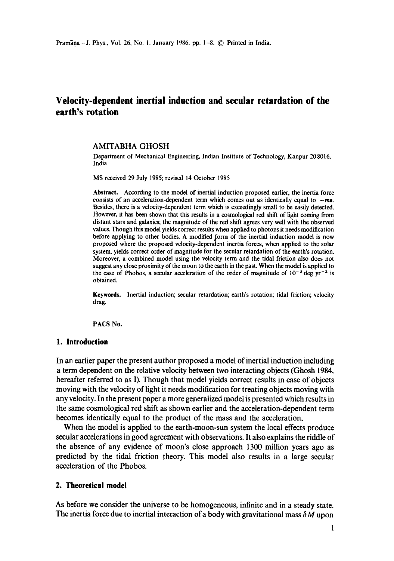# **Velocity-dependent inertial induction and secular retardation of the earth's rotation**

#### AMITABHA **GHOSH**

Department of Mechanical Engineering, Indian Institute of Technology, Kanpur 20 8016, India

MS received 29 July 1985; revised 14 October 1985

**Abstract. According to** the model of inertial induction proposed earlier, the inertia force consists of an acceleration-dependent term which comes out as identically equal to  $-ma$ . Besides, there is a velocity-dependent term which is exceedingly small to be easily detected. However, it has been shown that this results in a cosmological red shift of light coming from distant stars and galaxies; the magnitude of the red shift agrees very well with the observed values. Though this model yields correct results when applied to photons it needs modification before applying to other bodies. A modified form of the inertial induction model is now proposed where the proposed velocity-dependent inertia forces, when applied to the solar system, yields correct order of magnitude for the secular retardation of the earth's rotation. Moreover, a combined model using the velocity term and the tidal friction also does not suggest any close proximity of the moon to the earth in the past. When the model is applied to the case of Phobos, a secular acceleration of the order of magnitude of  $10^{-3}$  deg yr<sup>-2</sup> is obtained.

**Keywords.** Inertial induction; secular retardation; earth's rotation; tidal friction; velocity drag.

PACS No.

## **1. Introduction**

In an earlier paper the present author proposed a model of inertial induction including a term dependent on the relative velocity between two interacting objects (Ghosh 1984, hereafter referred to as I). Though that model yields correct results in case of objects moving with the velocity of light it needs modification for treating objects moving with any velocity. In the present paper a more generalized model is presented which results in the same cosmological red shift as shown earlier and the acceleration-dependent term becomes identically equal to the product of the mass and the acceleration.

When the model is applied to the earth-moon-sun system the local effects produce secular accelerations in good agreement with observations. It also explains the riddle of the absence of any evidence of moon's close approach 1300 million years ago as predicted by the tidal friction theory. This model also results in a large secular acceleration of the Phobos.

#### **2. Theoretical model**

As before we consider the universe to be homogeneous, infinite and in a steady state. The inertia force due to inertial interaction of a body with gravitational mass  $\delta M$  upon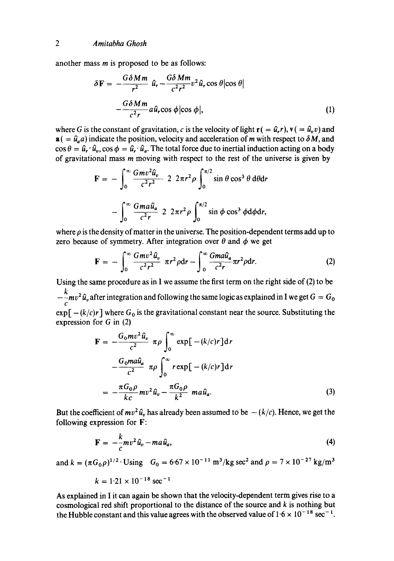another mass m is proposed to be as follows:

$$
\delta \mathbf{F} = -\frac{G \delta M m}{r^2} \hat{u}_r - \frac{G \delta M m}{c^2 r^2} v^2 \hat{u}_r \cos \theta |\cos \theta|
$$

$$
-\frac{G \delta M m}{c^2 r} a \hat{u}_r \cos \phi |\cos \phi|, \tag{1}
$$

where G is the constant of gravitation, c is the velocity of light  $\mathbf{r}$  ( =  $\hat{u}_r$ ),  $\mathbf{v}$  ( =  $\hat{u}_v v$ ) and  $\mathbf{a}$  ( =  $\hat{u}_a$ a) indicate the position, velocity and acceleration of m with respect to  $\delta M$ , and  $\cos \theta = \hat{u}_r \cdot \hat{u}_v$ ,  $\cos \phi = \hat{u}_r \cdot \hat{u}_a$ . The total force due to inertial induction acting on a body of gravitational mass m moving with respect to the rest of the universe is given by

$$
\mathbf{F} = -\int_0^\infty \frac{Gmv^2\hat{u}_v}{c^2r^2} \ 2 \ 2\pi r^2 \rho \int_0^{\pi/2} \sin\theta \cos^3\theta \, d\theta dr
$$

$$
-\int_0^\infty \frac{Gma\hat{u}_a}{c^2r} \ 2 \ 2\pi r^2 \rho \int_0^{\pi/2} \sin\phi \cos^3\phi \, d\phi dr,
$$

where  $\rho$  is the density of matter in the universe. The position-dependent terms add up to zero because of symmetry. After integration over  $\theta$  and  $\phi$  we get

$$
\mathbf{F} = -\int_0^\infty \frac{Gmv^2\hat{u}_v}{c^2r^2} \pi r^2 \rho dr - \int_0^\infty \frac{Gma\hat{u}_a}{c^2r} \pi r^2 \rho dr. \tag{2}
$$

Using the same procedure as in I we assume the first term on the right side of (2) to be  $-\frac{\kappa}{c}mv^2\hat{u}_v$  after integration and following the same logic as explained in I we get  $G = G_0$  $\exp[-(k/c)r]$  where  $G_0$  is the gravitational constant near the source. Substituting the expression for G in (2)

$$
\mathbf{F} = -\frac{G_0 m v^2 \hat{u}_v}{c^2} \pi \rho \int_0^\infty \exp[-(k/c)r] dr
$$
  

$$
-\frac{G_0 m a \hat{u}_a}{c^2} \pi \rho \int_0^\infty r \exp[-(k/c)r] dr
$$
  

$$
= -\frac{\pi G_0 \rho}{kc} m v^2 \hat{u}_v - \frac{\pi G_0 \rho}{k^2} m a \hat{u}_a.
$$
 (3)

But the coefficient of  $mv^2\hat{u}_v$  has already been assumed to be  $-(k/c)$ . Hence, we get the following expression for F:

$$
\mathbf{F} = -\frac{k}{c}mv^2\,\hat{u}_v - ma\,\hat{u}_a,\tag{4}
$$

and  $k = (\pi G_0 \rho)^{1/2} \cdot \text{Using } G_0 = 6.67 \times 10^{-11} \text{ m}^3/\text{kg sec}^2 \text{ and } \rho = 7 \times 10^{-27} \text{ kg/m}^3$ 

$$
k = 1.21 \times 10^{-18} \text{ sec}^{-1}
$$

As explained in I it can again be shown that the velocity-dependent term gives rise to a cosmological red shift proportional to the distance of the source and k is nothing but the Hubble constant and this value agrees with the observed value of  $1.6 \times 10^{-18}$  sec<sup>-1</sup>.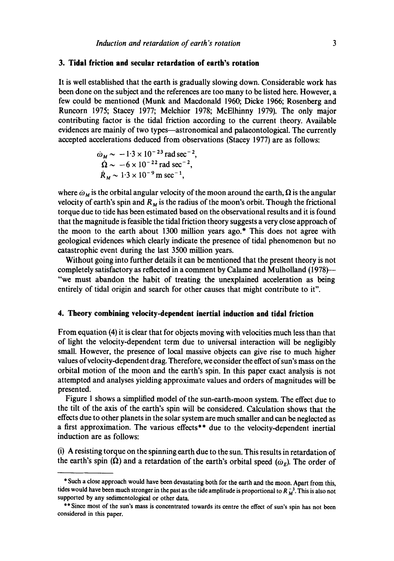#### **3. Tidal friction and secular retardation of earth's rotation**

It is well established that the earth is gradually slowing down. Considerable work has been done on the subject and the references are too many to be listed here. However, a few could be mentioned (Munk and Macdonald 1960; Dicke 1966; Rosenberg and Runcorn 1975; Stacey 1977; Melchior 1978; McElhinny 1979). The only major contributing factor is the tidal friction according to the current theory. Available evidences are mainly of two types—astronomical and palaeontological. The currently accepted accelerations deduced from observations (Stacey 1977) are as follows:

$$
\omega_M \sim -1.3 \times 10^{-23} \text{ rad sec}^{-2},
$$
  
\n
$$
\Omega \sim -6 \times 10^{-22} \text{ rad sec}^{-2},
$$
  
\n
$$
\dot{R}_M \sim 1.3 \times 10^{-9} \text{ m sec}^{-1},
$$

where  $\dot{\omega}_M$  is the orbital angular velocity of the moon around the earth,  $\Omega$  is the angular velocity of earth's spin and  $R_M$  is the radius of the moon's orbit. Though the frictional torque due to tide has been estimated based on the observational results and it is found that the magnitude is feasible the tidal friction theory suggests a very close approach of the moon to the earth about 1300 million years ago.\* This does not agree with geological evidences which clearly indicate the presence of tidal phenomenon but no catastrophic event during the last 3500 million years.

Without going into further details it can be mentioned that the present theory is not completely satisfactory as reflected in a comment by Calame and Mulholland (1978)-- "we must abandon the habit of treating the unexplained acceleration as being entirely of tidal origin and search for other causes that might contribute to it".

#### **4. Theory combining velocity-dependent inertial induction and tidal friction**

From equation (4) it is clear that for objects moving with velocities much less than that of light the velocity-dependent term due to universal interaction will be negligibly small. However, the presence of local massive objects can give rise to much higher values of velocity-dependent drag. Therefore, we consider the effect of sun's mass on the orbital motion of the moon and the earth's spin. In this paper exact analysis is not attempted and analyses yielding approximate values and orders of magnitudes will be presented.

Figure 1 shows a simplified model of the sun-earth-moon system. The effect due to the tilt of the axis of the earth's spin will be considered. Calculation shows that the effects due to other planets in the solar system are much smaller and can be neglected as a first approximation. The various effects\*\* due to the velocity-dependent inertial induction are as follows:

(i) A resisting torque on the spinning earth due to the sun. This results in retardation of the earth's spin ( $\Omega$ ) and a retardation of the earth's orbital speed ( $\omega_E$ ). The order of

<sup>\*</sup> Such a close approach would have been devastating both for the earth and the moon. Apart from this, tides would have been much stronger in the past as the tide amplitude is proportional to  $R_M^{-3}$ . This is also not supported by any sedimentological or other data.

<sup>\*\*</sup> Since most of the sun's mass is concentrated towards its centre the effect of sun's spin has not been considered in this paper.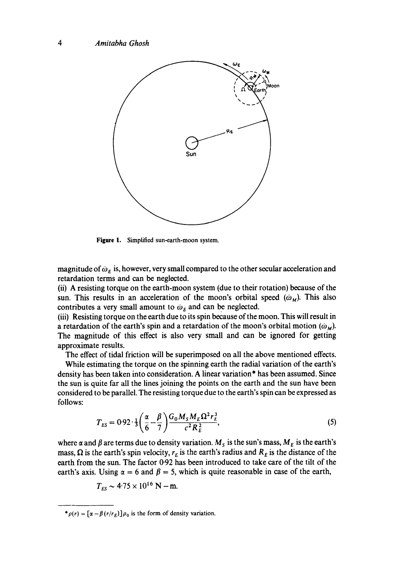

Figure 1. Simplified sun-earth-moon system.

magnitude of  $\omega_{E}$  is, however, very small compared to the other secular acceleration and retardation terms and can be neglected.

(ii) A resisting torque on the earth-moon system (due to their rotation) because of the sun. This results in an acceleration of the moon's orbital speed  $(\omega_M)$ . This also contributes a very small amount to  $\omega_F$  and can be neglected.

(iii) Resisting torque on the earth due to its spin because of the moon. This will result in a retardation of the earth's spin and a retardation of the moon's orbital motion  $(\omega_M)$ . The magnitude of this effect is also very small and can be ignored for getting approximate results.

The effect of tidal friction will be superimposed on all the above mentioned effects.

While estimating the torque on the spinning earth the radial variation of the earth's density has been taken into consideration. A linear variation\* has been assumed. Since the sun is quite far all the lines joining the points on the earth and the sun have been considered to be parallel. The resisting torque due to the earth's spin can be expressed as follows:

$$
T_{ES} = 0.92 \cdot \frac{1}{3} \left( \frac{\alpha}{6} - \frac{\beta}{7} \right) \frac{G_0 M_S M_E \Omega^2 r_E^3}{c^2 R_E^2},
$$
 (5)

where  $\alpha$  and  $\beta$  are terms due to density variation.  $M_s$  is the sun's mass,  $M_E$  is the earth's mass,  $\Omega$  is the earth's spin velocity,  $r_E$  is the earth's radius and  $R_E$  is the distance of the earth from the sun. The factor 0.92 has been introduced to take care of the tilt of the earth's axis. Using  $\alpha = 6$  and  $\beta = 5$ , which is quite reasonable in case of the earth,

$$
T_{ES} \sim 4.75 \times 10^{16} \text{ N} - \text{m}.
$$

 $*_{\rho(r)} = [\alpha - \beta(r/r_E)]\rho_0$  is the form of density variation.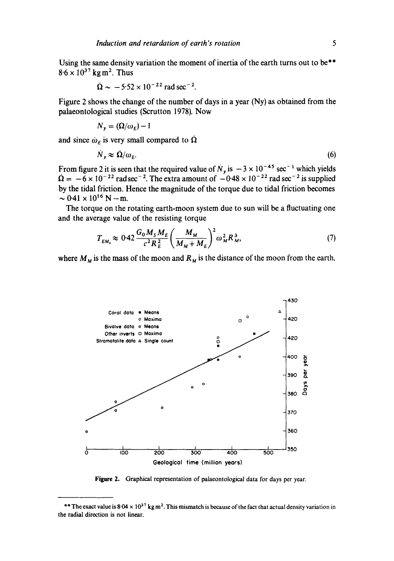Using the same density variation the moment of inertia of the earth turns out to be\*\*  $8.6 \times 10^{37}$  kg m<sup>2</sup>. Thus

$$
\dot{\Omega} \sim -5.52 \times 10^{-22}
$$
 rad sec<sup>-2</sup>.

Figure 2 shows the change of the number of days in a year (Ny) as obtained from the palaeontological studies (Scrutton 1978). Now

$$
N_{y}=(\Omega/\omega_{E})-1
$$

and since  $\dot{\omega}_E$  is very small compared to  $\dot{\Omega}$ 

$$
\dot{N}_y \approx \dot{\Omega}/\omega_E. \tag{6}
$$

From figure 2 it is seen that the required value of  $N_{\nu}$  is  $-3 \times 10^{-43}$  sec<sup>-1</sup> which yields  $\Omega = -6 \times 10^{-22}$  rad sec<sup>-2</sup>. The extra amount of  $-0.48 \times 10^{-22}$  rad sec<sup>-2</sup> is supplied by the tidal friction. Hence the magnitude of the torque due to tidal friction becomes  $\sim 0.41 \times 10^{16}$  N - m.

The torque on the rotating earth-moon system due to sun will be a fluctuating one and the average value of the resisting torque

$$
T_{EM_{\star}} \approx 0.42 \frac{G_0 M_S M_E}{c^2 R_E^2} \left(\frac{M_M}{M_M + M_E}\right)^2 \omega_M^2 R_M^3,
$$
 (7)

where  $M_M$  is the mass of the moon and  $R_M$  is the distance of the moon from the earth.



**Figure** 2. Graphical representation of palaeontological data for days per year.

<sup>\*\*</sup> The exact value is  $8.04 \times 10^{37}$  kg m<sup>2</sup>. This mismatch is because of the fact that actual density variation in the radial direction is not linear.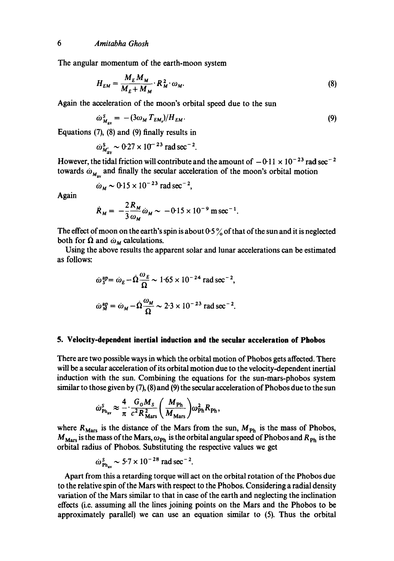The angular momentum of the earth-moon system

$$
H_{EM} = \frac{M_E M_M}{M_E + M_M} \cdot R_M^2 \cdot \omega_M. \tag{8}
$$

Again the acceleration of the moon's orbital speed due to the sun

$$
\dot{\omega}_{M_{\rm av}}^S = -(3\omega_M T_{EM})/H_{EM}.\tag{9}
$$

Equations (7), (8) and (9) finally results in

$$
\dot{\omega}_{M'_{av}}^S \sim 0.27 \times 10^{-23}
$$
 rad sec<sup>-2</sup>.

However, the tidal friction will contribute and the amount of  $-0.11 \times 10^{-23}$  rad sec<sup>-2</sup> towards  $\omega_{M_{\text{max}}}$  and finally the secular acceleration of the moon's orbital motion

$$
\dot{\omega}_M \sim 0.15 \times 10^{-23} \text{ rad sec}^{-2},
$$

Again

$$
\dot{R}_M = -\frac{2}{3} \frac{R_M}{\omega_M} \dot{\omega}_M \sim -0.15 \times 10^{-9} \text{ m sec}^{-1}.
$$

The effect of moon on the earth's spin is about  $0.5\%$  of that of the sun and it is neglected both for  $\Omega$  and  $\omega_M$  calculations.

Using the above results the apparent solar and lunar accelerations can be estimated as follows:

$$
\dot{\omega}_S^{\text{ap}} = \dot{\omega}_E - \dot{\Omega} \frac{\omega_E}{\Omega} \sim 1.65 \times 10^{-24} \text{ rad sec}^{-2},
$$
  

$$
\dot{\omega}_M^{\text{ap}} = \dot{\omega}_M - \dot{\Omega} \frac{\omega_M}{\Omega} \sim 2.3 \times 10^{-23} \text{ rad sec}^{-2}.
$$

#### **5. Velocity-dependent inertial induction and the secular acceleration of Phobos**

There are two possible ways in which the orbital motion of Phobos gets affected. There will be a secular acceleration of its orbital motion due to the velocity-dependent inertial induction with the sun. Combining the equations for the sun-mars-phobos system similar to those given by (7), (8) and (9) the secular acceleration of Phobos due to the sun

$$
\dot{\omega}_{\rm Ph_{av}}^S \approx \frac{4}{\pi} \cdot \frac{G_0 M_S}{c^2 R_{\rm Mars}^2} \bigg(\frac{M_{\rm Ph}}{M_{\rm Mars}}\bigg) \omega_{\rm Ph}^2 R_{\rm Ph}\,,
$$

where  $R_{\text{Mars}}$  is the distance of the Mars from the sun,  $M_{\text{Ph}}$  is the mass of Phobos,  $M_{\text{Mars}}$  is the mass of the Mars,  $\omega_{\text{Ph}}$  is the orbital angular speed of Phobos and  $R_{\text{Ph}}$  is the orbital radius of Phobos. Substituting the respective values we get

$$
\dot{\omega}_{\text{Ph...}}^S \sim 5.7 \times 10^{-28} \text{ rad sec}^{-2}.
$$

Apart from this a retarding torque will act on the orbital rotation of the Phobos due to the relative spin of the Mars with respect to the Phobos. Considering a radial density variation of the Mars similar to that in case of the earth and neglecting the inclination effects (i.e. assuming all the lines joining points on the Mars and the Phobos to be approximately parallel) we can use an equation similar to (5). Thus the orbital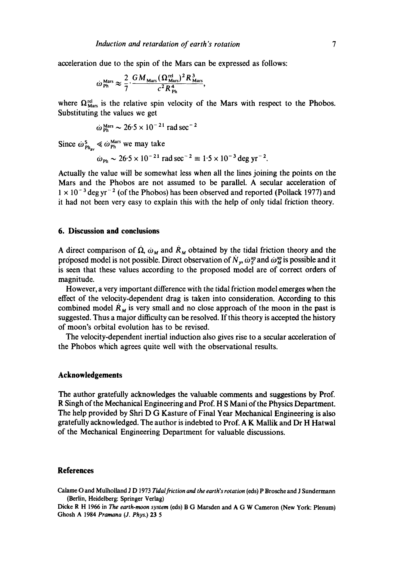acceleration due to the spin of the Mars can be expressed as follows:

$$
\omega_{\rm Ph}^{\rm Mars} \approx \frac{2}{7} \cdot \frac{GM_{\rm Mars} (\Omega_{\rm Mars}^{\rm rel})^2 R_{\rm Mars}^3}{c^2 R_{\rm ph}^4},
$$

where  $\Omega_{\text{Mars}}^{\text{rel}}$  is the relative spin velocity of the Mars with respect to the Phobos. Substituting the values we get

$$
\dot{\omega}^{\text{ Mars}}_{\text{Ph}} \sim 26.5 \times 10^{-21} \text{ rad sec}^{-2}
$$

Since  $\omega_{\text{Ph}_{\text{m}}}^{\text{s}} \le \omega_{\text{Ph}}^{\text{Mars}}$  we may take

$$
\dot{\omega}_{\text{Ph}} \sim 26.5 \times 10^{-21} \text{ rad sec}^{-2} \equiv 1.5 \times 10^{-3} \text{ deg yr}^{-2}.
$$

Actually the value will be somewhat less when all the lines joining the points on the Mars and the Phobos are not assumed to be parallel. A secular acceleration of  $1 \times 10^{-3}$  deg yr<sup>-2</sup> (of the Phobos) has been observed and reported (Pollack 1977) and it had not been very easy to explain this with the help of only tidal friction theory.

## **6. Discussion and conclusions**

A direct comparison of  $\dot{\Omega}$ ,  $\dot{\omega}_M$  and  $\dot{R}_M$  obtained by the tidal friction theory and the proposed model is not possible. Direct observation of  $N_r$ ,  $\dot{\omega}_S^{ap}$  and  $\dot{\omega}_M^{ap}$  is possible and it is seen that these values according to the proposed model are of correct orders of magnitude.

However, a very important difference with the tidal friction model emerges when the effect of the velocity-dependent drag is taken into consideration. According to this combined model  $\dot{R}_M$  is very small and no close approach of the moon in the past is suggested. Thus a major difficulty can be resolved. If this theory is accepted the history of moon's orbital evolution has to be revised.

The velocity-dependent inertial induction also gives rise to a secular acceleration of the Phobos which agrees quite well with the observational results.

### **Acknowledgements**

The author gratefully acknowledges the valuable comments and suggestions by Prof. R Singh of the Mechanical Engineering and Prof. H S Mani of the Physics Department. The help provided by Shri D G Kasture of Final Year Mechanical Engineering is also gratefully acknowledged. The author is indebted to Prof. A K Mallik and Dr H Hatwal of the Mechanical Engineering Department for valuable discussions.

#### **References**

Calame O and Mulholland J D 1973 *Tidal friction and the earth's rotation* (¢ds) P Brosche and J Sundermann (Berlin, Heiddberg: Springer Verlag)

Dicke R H 1966 in The earth-moon system (eds) B G Marsden and A G W Cameron (New York: Plenum) Ghosh A 1984 *Pramana (J. Phys.) 23 5*